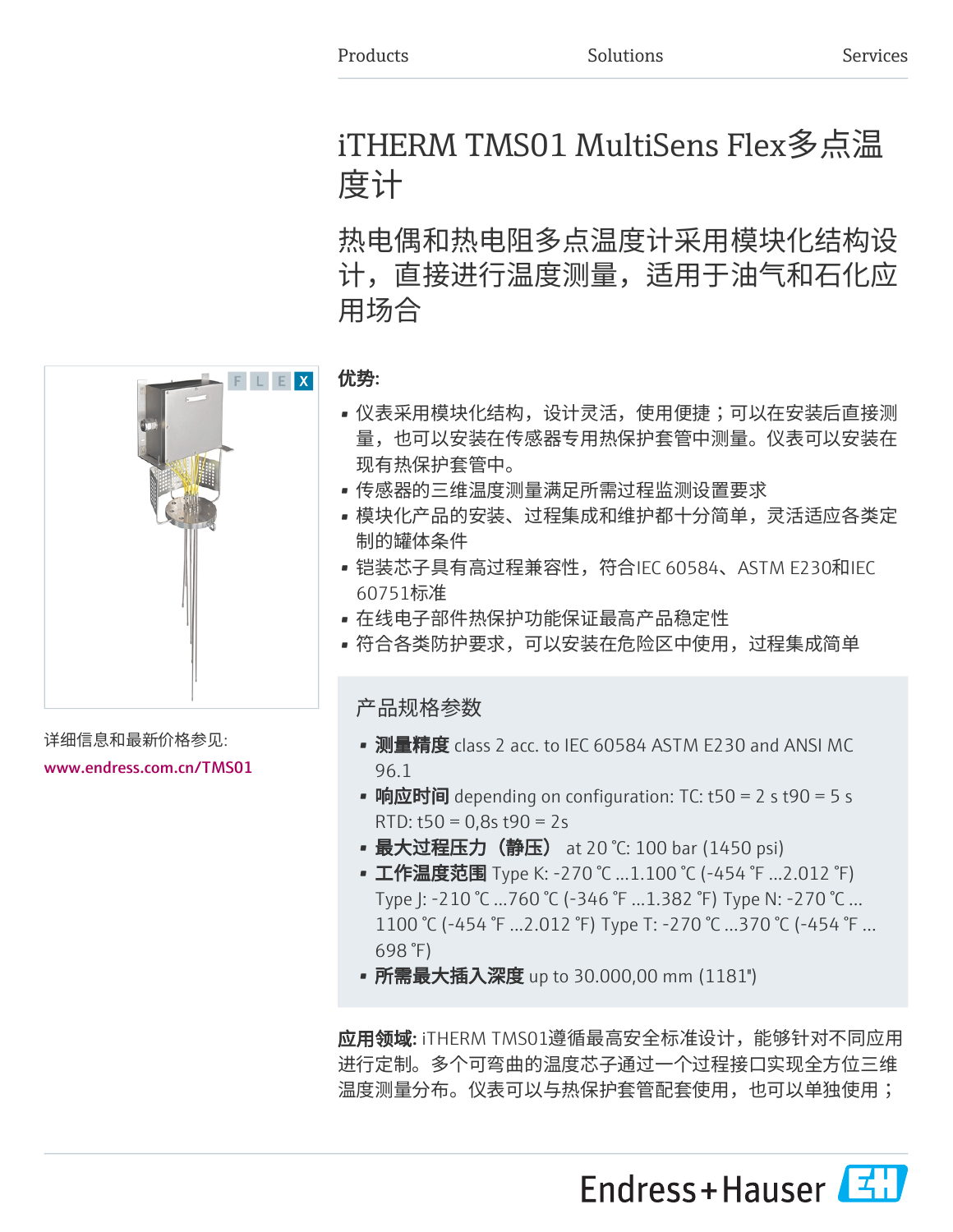# iTHERM TMS01 MultiSens Flex多点温 度计

热电偶和热电阻多点温度计采用模块化结构设 计,直接进行温度测量,适用于油气和石化应 用场合



详细信息和最新价格参见:

[www.endress.com.cn/TMS01](https://www.endress.com.cn/TMS01)

#### 优势:

- 仪表采用模块化结构,设计灵活,使用便捷;可以在安装后直接测 量,也可以安装在传感器专用热保护套管中测量。仪表可以安装在 现有热保护套管中。
- 传感器的三维温度测量满足所需过程监测设置要求
- 模块化产品的安装、过程集成和维护都十分简单,灵活适应各类定 制的罐体条件
- 铠装芯子具有高过程兼容性,符合IEC 60584、ASTM E230和IEC 60751标准
- 在线电子部件热保护功能保证最高产品稳定性
- 符合各类防护要求,可以安装在危险区中使用,过程集成简单

产品规格参数

- 测量精度 class 2 acc. to IEC 60584 ASTM E230 and ANSI MC 96.1
- 响应时间 depending on configuration: TC: t50 = 2 s t90 = 5 s RTD:  $t50 = 0.8s$   $t90 = 2s$
- 最大过程压力(静压) at 20 °C: 100 bar (1450 psi)
- 工作温度范围 Type K: -270 ℃ ...1.100 ℃ (-454 ℉ ...2.012 ℉) Type J: -210 °C ...760 °C (-346 °F ...1.382 °F) Type N: -270 °C … 1100 °C (-454 °F ...2.012 °F) Type T: -270 °C …370 °C (-454 °F … 698 °F)
- 所需最大插入深度 up to 30.000,00 mm (1181")

应用领域: iTHERM TMS01遵循最高安全标准设计, 能够针对不同应用 进行定制。多个可弯曲的温度芯子通过一个过程接口实现全方位三维 温度测量分布。仪表可以与热保护套管配套使用,也可以单独使用;

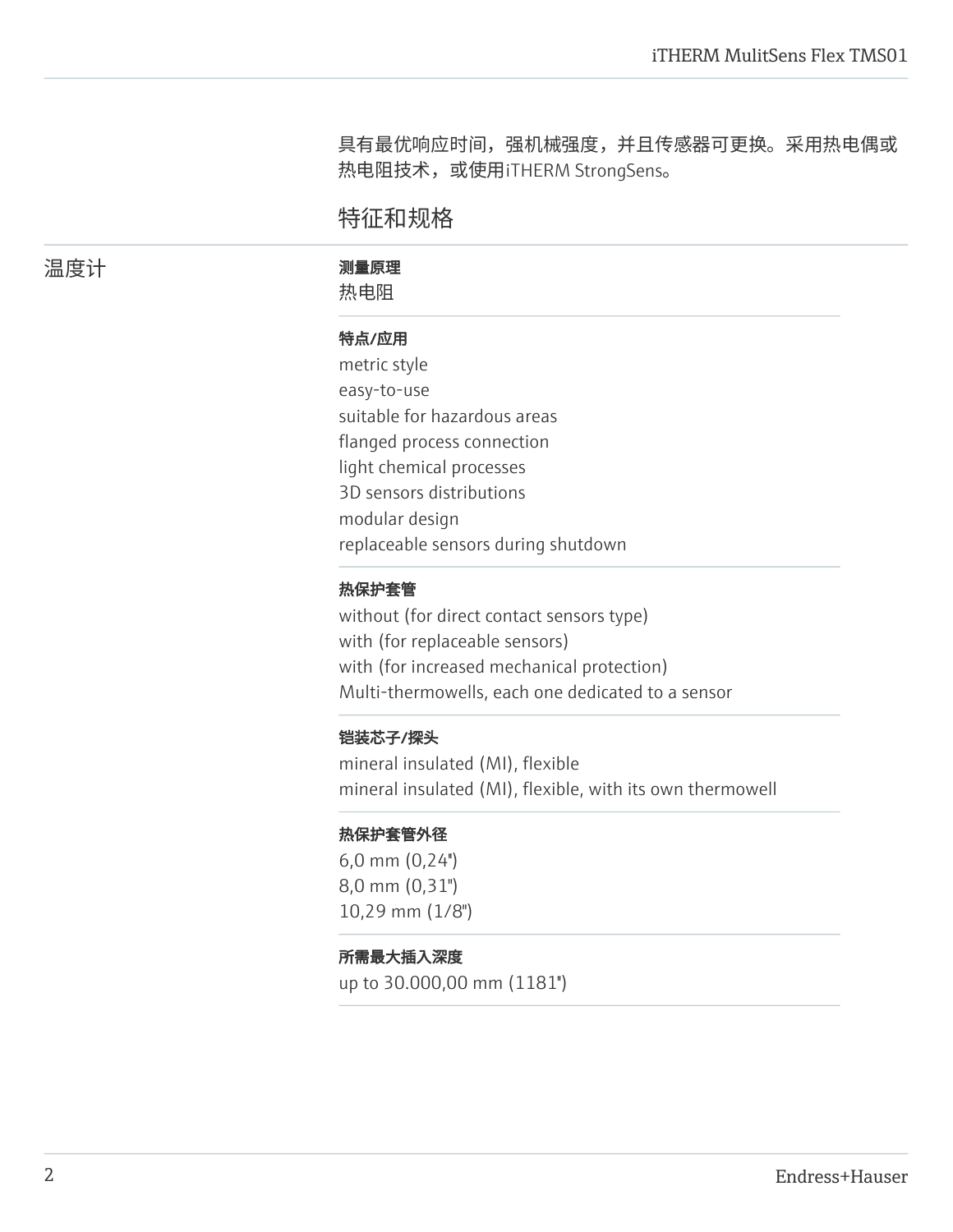具有最优响应时间,强机械强度,并且传感器可更换。采用热电偶或 热电阻技术,或使用iTHERM StrongSens。

## 特征和规格

温度计 あいさい 測量原理

热电阻

#### 特点/应用

metric style easy-to-use suitable for hazardous areas flanged process connection light chemical processes 3D sensors distributions modular design replaceable sensors during shutdown

#### 热保护套管

without (for direct contact sensors type) with (for replaceable sensors) with (for increased mechanical protection) Multi-thermowells, each one dedicated to a sensor

#### 铠装芯子/探头

mineral insulated (MI), flexible mineral insulated (MI), flexible, with its own thermowell

#### 热保护套管外径

6,0 mm (0,24'') 8,0 mm (0,31") 10,29 mm (1/8")

#### 所需最大插入深度

up to 30.000,00 mm (1181'')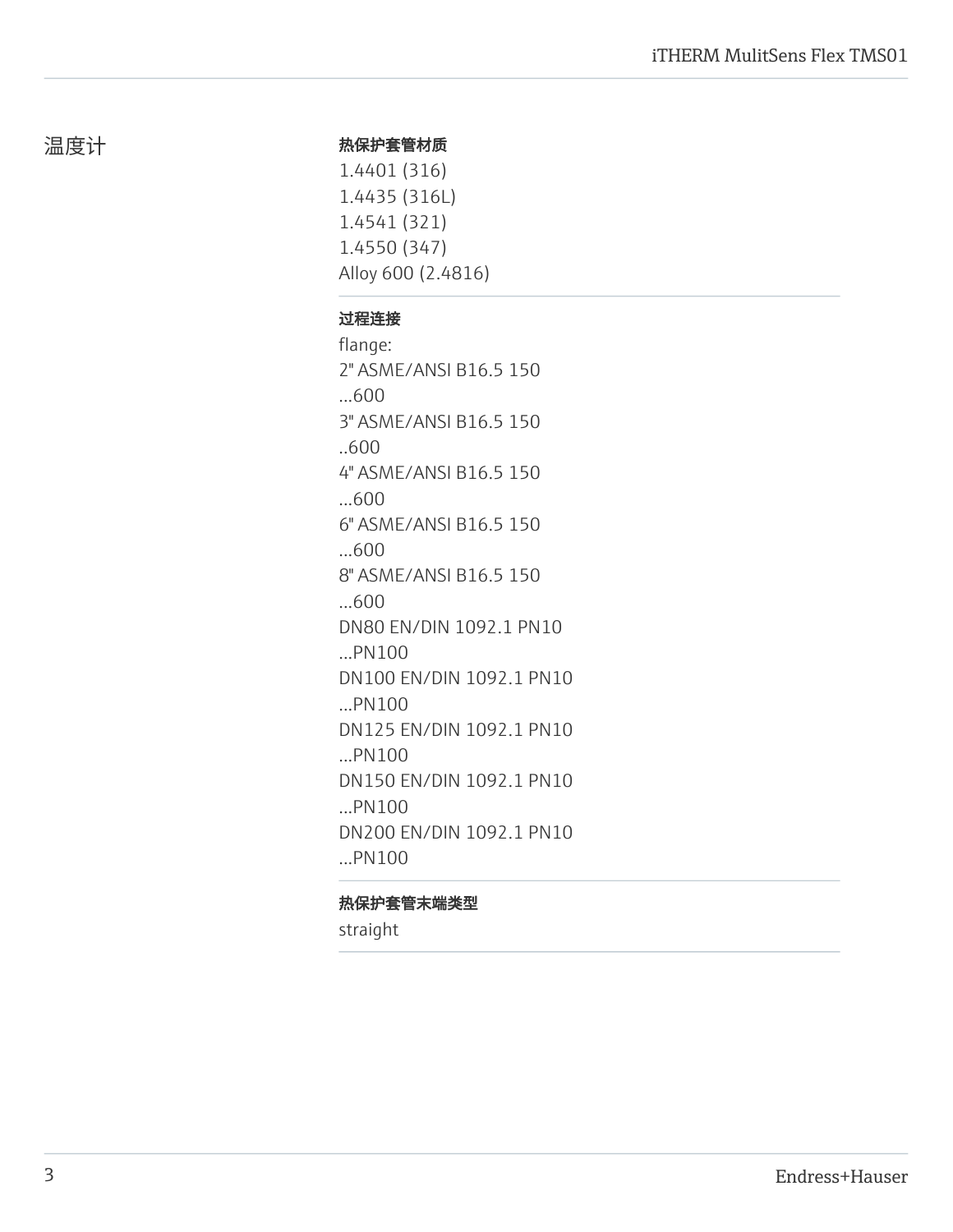#### 热保护套管材质

1.4401 (316) 1.4435 (316L) 1.4541 (321) 1.4550 (347) Alloy 600 (2.4816)

#### 过程连接

flange: 2" ASME/ANSI B16.5 150 ...600 3" ASME/ANSI B16.5 150 ..600 4" ASME/ANSI B16.5 150 ...600 6" ASME/ANSI B16.5 150 ...600 8" ASME/ANSI B16.5 150 ...600 DN80 EN/DIN 1092.1 PN10 ...PN100 DN100 EN/DIN 1092.1 PN10 ...PN100 DN125 EN/DIN 1092.1 PN10 ...PN100 DN150 EN/DIN 1092.1 PN10 ...PN100 DN200 EN/DIN 1092.1 PN10 ...PN100

#### 热保护套管末端类型

straight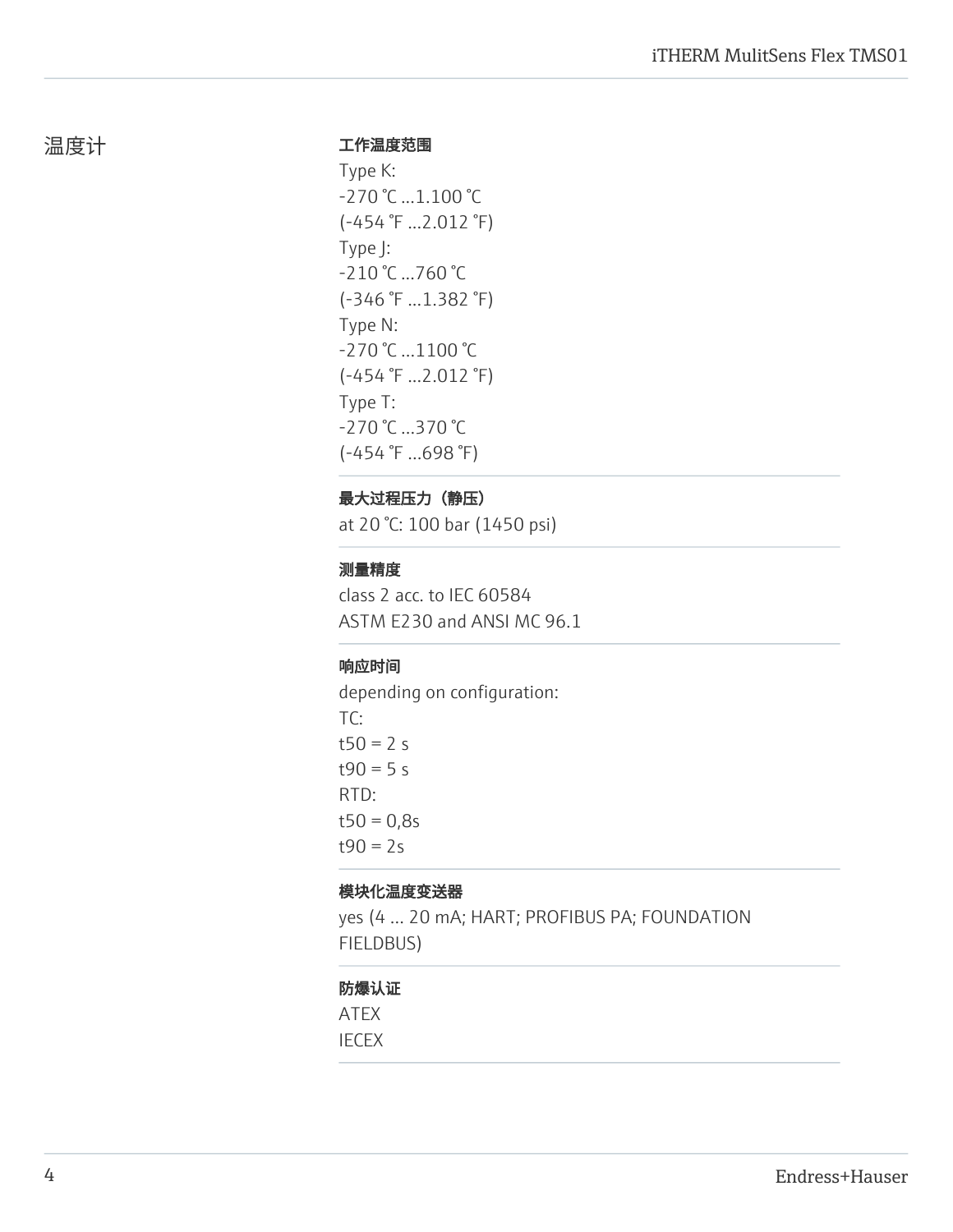#### 工作温度范围

Type K: -270 °C ...1.100 °C (-454 °F ...2.012 °F) Type J: -210 °C ...760 °C (-346 °F ...1.382 °F) Type N: -270 °C …1100 °C (-454 °F ...2.012 °F) Type T: -270 °C …370 °C (-454 °F …698 °F)

## 最大过程压力(静压)

at 20 °C: 100 bar (1450 psi)

## 测量精度

class 2 acc. to IEC 60584 ASTM E230 and ANSI MC 96.1

## 响应时间

depending on configuration: TC:  $t50 = 2 s$  $t90 = 5 s$ RTD:  $t50 = 0,8s$  $t90 = 2s$ 

#### 模块化温度变送器

yes (4 … 20 mA; HART; PROFIBUS PA; FOUNDATION FIELDBUS)

### 防爆认证

ATEX IECEX